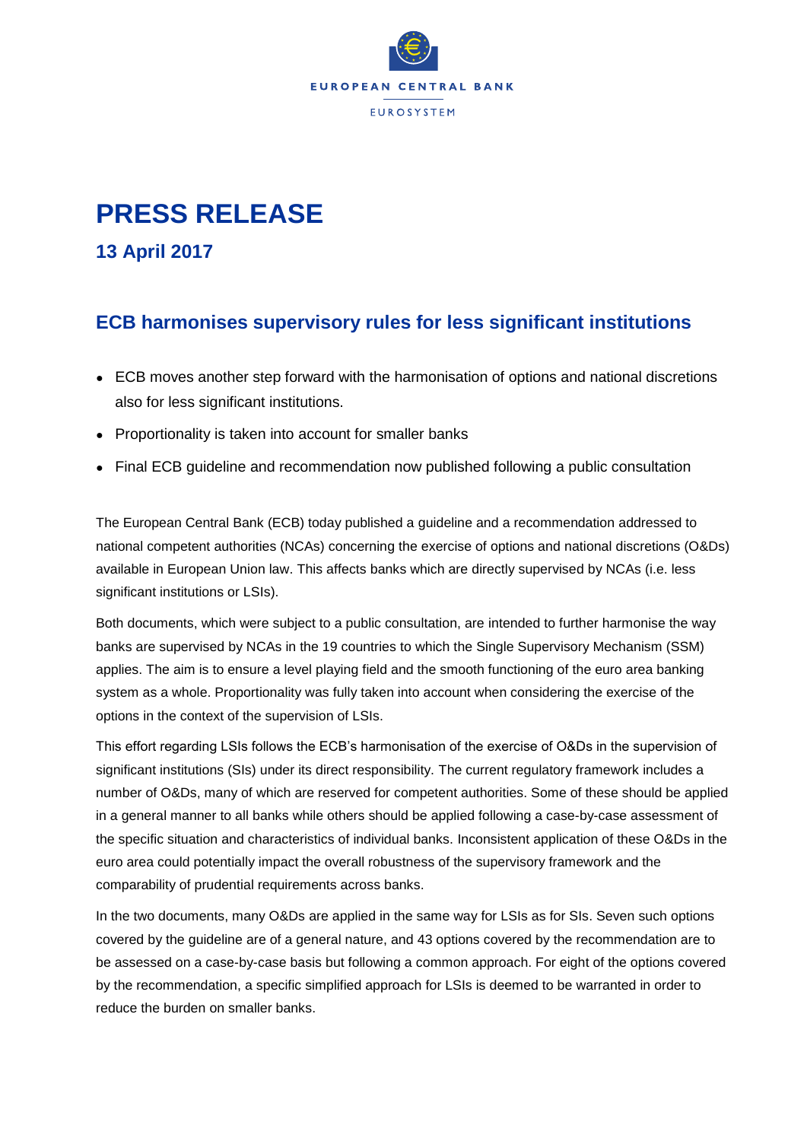

## **PRESS RELEASE**

**13 April 2017**

## **ECB harmonises supervisory rules for less significant institutions**

- ECB moves another step forward with the harmonisation of options and national discretions also for less significant institutions.
- Proportionality is taken into account for smaller banks
- Final ECB guideline and recommendation now published following a public consultation

The European Central Bank (ECB) today published a guideline and a recommendation addressed to national competent authorities (NCAs) concerning the exercise of options and national discretions (O&Ds) available in European Union law. This affects banks which are directly supervised by NCAs (i.e. less significant institutions or LSIs).

Both documents, which were subject to a public consultation, are intended to further harmonise the way banks are supervised by NCAs in the 19 countries to which the Single Supervisory Mechanism (SSM) applies. The aim is to ensure a level playing field and the smooth functioning of the euro area banking system as a whole. Proportionality was fully taken into account when considering the exercise of the options in the context of the supervision of LSIs.

This effort regarding LSIs follows the ECB's harmonisation of the exercise of O&Ds in the supervision of significant institutions (SIs) under its direct responsibility. The current regulatory framework includes a number of O&Ds, many of which are reserved for competent authorities. Some of these should be applied in a general manner to all banks while others should be applied following a case-by-case assessment of the specific situation and characteristics of individual banks. Inconsistent application of these O&Ds in the euro area could potentially impact the overall robustness of the supervisory framework and the comparability of prudential requirements across banks.

In the two documents, many O&Ds are applied in the same way for LSIs as for SIs. Seven such options covered by the guideline are of a general nature, and 43 options covered by the recommendation are to be assessed on a case-by-case basis but following a common approach. For eight of the options covered by the recommendation, a specific simplified approach for LSIs is deemed to be warranted in order to reduce the burden on smaller banks.